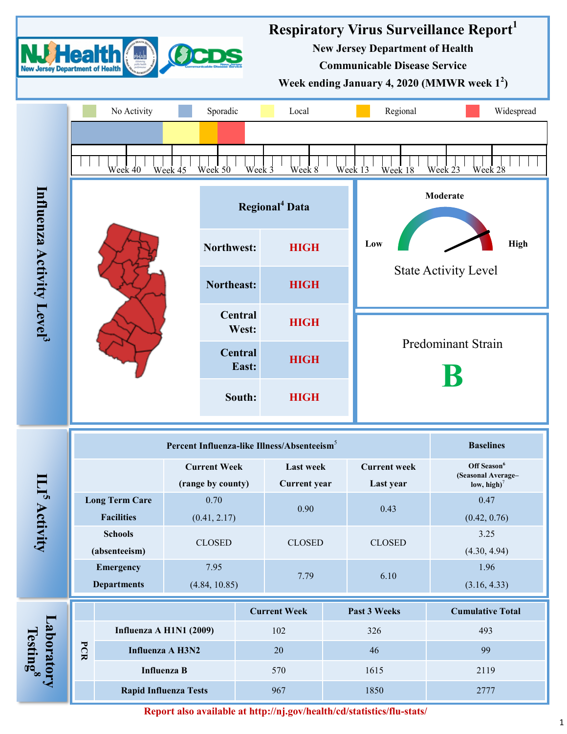

**Report also available at http://nj.gov/health/cd/statistics/flu-stats/**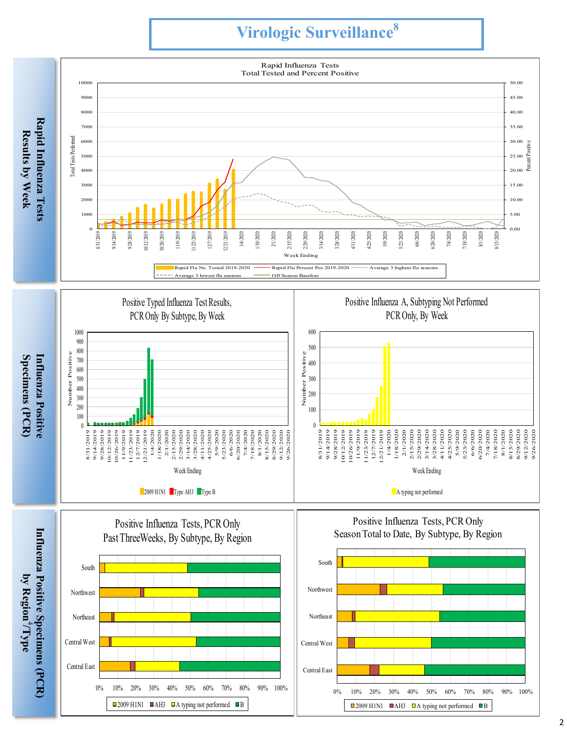# **Virologic Surveillance 8**

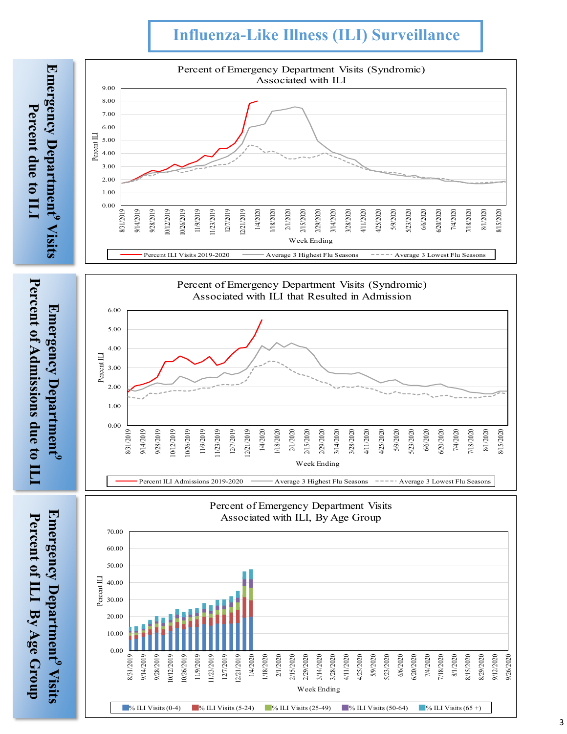## **Influenza -Like Illness (ILI) Surveillance**

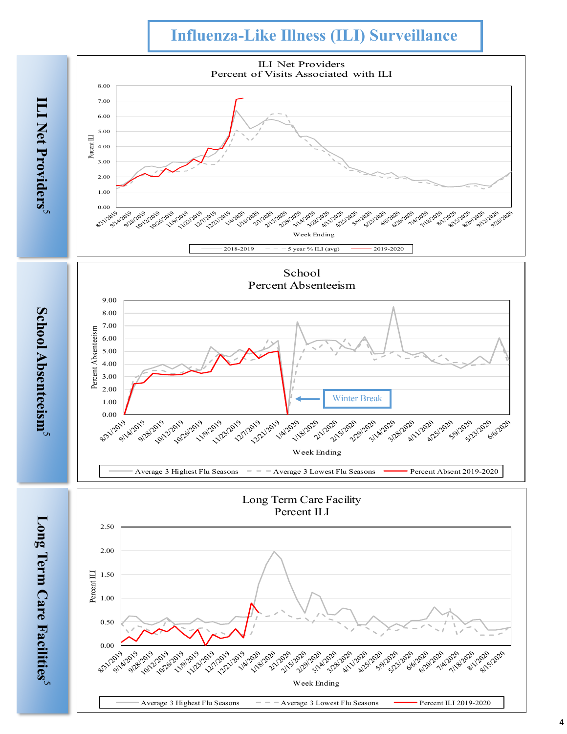## **Influenza -Like Illness (ILI) Surveillance**

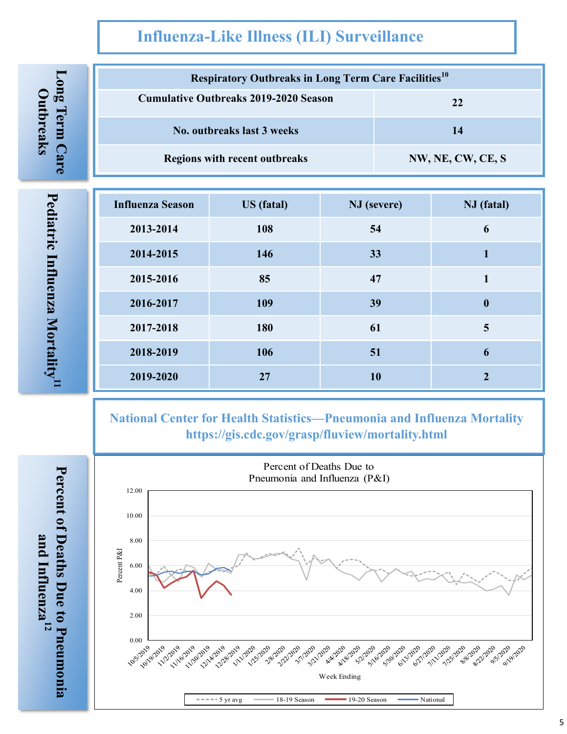## **Influenza-Like Illness (ILI) Surveillance**

| <b>Respiratory Outbreaks in Long Term Care Facilities</b> <sup>10</sup> |                   |
|-------------------------------------------------------------------------|-------------------|
| <b>Cumulative Outbreaks 2019-2020 Season</b>                            | 22                |
| No. outhreaks last 3 weeks                                              | 14                |
| <b>Regions with recent outbreaks</b>                                    | NW, NE, CW, CE, S |

**Influenza Season US (fatal) NJ (severe) NJ (fatal) -2014 108 54 6 -2015 146 33 1 -2016 85 47 1 -2017 109 39 0 -2018 180 61 5 -2019 106 51 6 -2020 27 10 2**

**National Center for Health Statistics—Pneumonia and Influenza Mortality https://gis.cdc.gov/grasp/fluview/mortality.html**



**Pediatric Influenza Mortality**Pediatric Influenza Mortality<sup>.11</sup>

**and Influenza**and Influenza<sup>12</sup>

**Long Term Care Outbreaks**

Long Term Care

Outbreaks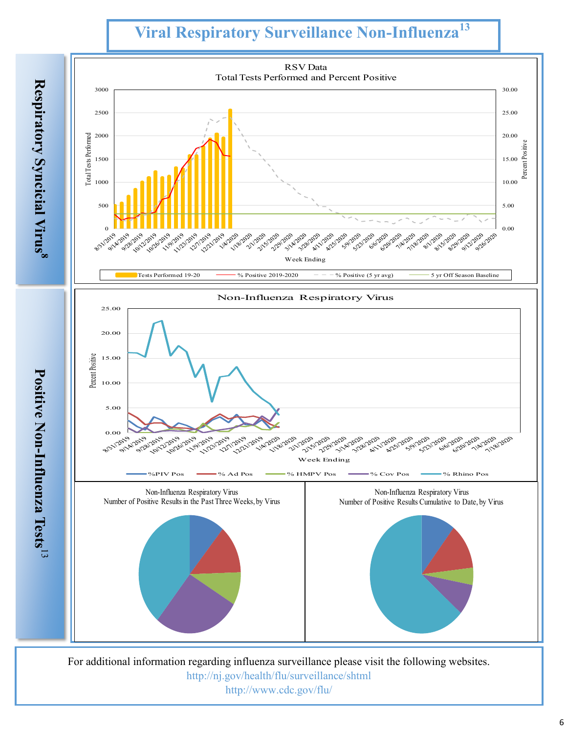# **Viral Respiratory Surveillance Non-Influenza<sup>13</sup>**



For additional information regarding influenza surveillance please visit the following websites. http://nj.gov/health/flu/surveillance/shtml http://www.cdc.gov/flu/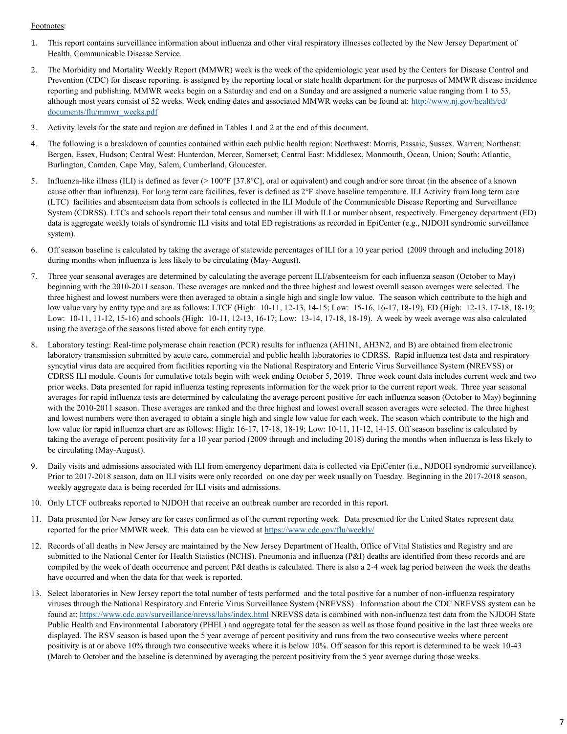#### Footnotes:

- 1. This report contains surveillance information about influenza and other viral respiratory illnesses collected by the New Jersey Department of Health, Communicable Disease Service.
- 2. The Morbidity and Mortality Weekly Report (MMWR) week is the week of the epidemiologic year used by the Centers for Disease Control and Prevention (CDC) for disease reporting. is assigned by the reporting local or state health department for the purposes of MMWR disease incidence reporting and publishing. MMWR weeks begin on a Saturday and end on a Sunday and are assigned a numeric value ranging from 1 to 53, although most years consist of 52 weeks. Week ending dates and associated MMWR weeks can be found at: [http://www.nj.gov/health/cd/](http://www.nj.gov/health/cd/documents/flu/mmwr_weeks.pdf) [documents/flu/mmwr\\_weeks.pdf](http://www.nj.gov/health/cd/documents/flu/mmwr_weeks.pdf)
- 3. Activity levels for the state and region are defined in Tables 1 and 2 at the end of this document.
- 4. The following is a breakdown of counties contained within each public health region: Northwest: Morris, Passaic, Sussex, Warren; Northeast: Bergen, Essex, Hudson; Central West: Hunterdon, Mercer, Somerset; Central East: Middlesex, Monmouth, Ocean, Union; South: Atlantic, Burlington, Camden, Cape May, Salem, Cumberland, Gloucester.
- 5. Influenza-like illness (ILI) is defined as fever (> 100°F [37.8°C], oral or equivalent) and cough and/or sore throat (in the absence of a known cause other than influenza). For long term care facilities, fever is defined as 2°F above baseline temperature. ILI Activity from long term care (LTC) facilities and absenteeism data from schools is collected in the ILI Module of the Communicable Disease Reporting and Surveillance System (CDRSS). LTCs and schools report their total census and number ill with ILI or number absent, respectively. Emergency department (ED) data is aggregate weekly totals of syndromic ILI visits and total ED registrations as recorded in EpiCenter (e.g., NJDOH syndromic surveillance system).
- 6. Off season baseline is calculated by taking the average of statewide percentages of ILI for a 10 year period (2009 through and including 2018) during months when influenza is less likely to be circulating (May-August).
- 7. Three year seasonal averages are determined by calculating the average percent ILI/absenteeism for each influenza season (October to May) beginning with the 2010-2011 season. These averages are ranked and the three highest and lowest overall season averages were selected. The three highest and lowest numbers were then averaged to obtain a single high and single low value. The season which contribute to the high and low value vary by entity type and are as follows: LTCF (High: 10-11, 12-13, 14-15; Low: 15-16, 16-17, 18-19), ED (High: 12-13, 17-18, 18-19; Low: 10-11, 11-12, 15-16) and schools (High: 10-11, 12-13, 16-17; Low: 13-14, 17-18, 18-19). A week by week average was also calculated using the average of the seasons listed above for each entity type.
- 8. Laboratory testing: Real-time polymerase chain reaction (PCR) results for influenza (AH1N1, AH3N2, and B) are obtained from electronic laboratory transmission submitted by acute care, commercial and public health laboratories to CDRSS. Rapid influenza test data and respiratory syncytial virus data are acquired from facilities reporting via the National Respiratory and Enteric Virus Surveillance System (NREVSS) or CDRSS ILI module. Counts for cumulative totals begin with week ending October 5, 2019. Three week count data includes current week and two prior weeks. Data presented for rapid influenza testing represents information for the week prior to the current report week. Three year seasonal averages for rapid influenza tests are determined by calculating the average percent positive for each influenza season (October to May) beginning with the 2010-2011 season. These averages are ranked and the three highest and lowest overall season averages were selected. The three highest and lowest numbers were then averaged to obtain a single high and single low value for each week. The season which contribute to the high and low value for rapid influenza chart are as follows: High: 16-17, 17-18, 18-19; Low: 10-11, 11-12, 14-15. Off season baseline is calculated by taking the average of percent positivity for a 10 year period (2009 through and including 2018) during the months when influenza is less likely to be circulating (May-August).
- 9. Daily visits and admissions associated with ILI from emergency department data is collected via EpiCenter (i.e., NJDOH syndromic surveillance). Prior to 2017-2018 season, data on ILI visits were only recorded on one day per week usually on Tuesday. Beginning in the 2017-2018 season, weekly aggregate data is being recorded for ILI visits and admissions.
- 10. Only LTCF outbreaks reported to NJDOH that receive an outbreak number are recorded in this report.
- 11. Data presented for New Jersey are for cases confirmed as of the current reporting week. Data presented for the United States represent data reported for the prior MMWR week. This data can be viewed at <https://www.cdc.gov/flu/weekly/>
- 12. Records of all deaths in New Jersey are maintained by the New Jersey Department of Health, Office of Vital Statistics and Registry and are submitted to the National Center for Health Statistics (NCHS). Pneumonia and influenza (P&I) deaths are identified from these records and are compiled by the week of death occurrence and percent P&I deaths is calculated. There is also a 2-4 week lag period between the week the deaths have occurred and when the data for that week is reported.
- 13. Select laboratories in New Jersey report the total number of tests performed and the total positive for a number of non-influenza respiratory viruses through the National Respiratory and Enteric Virus Surveillance System (NREVSS) . Information about the CDC NREVSS system can be found at:<https://www.cdc.gov/surveillance/nrevss/labs/index.html> NREVSS data is combined with non-influenza test data from the NJDOH State Public Health and Environmental Laboratory (PHEL) and aggregate total for the season as well as those found positive in the last three weeks are displayed. The RSV season is based upon the 5 year average of percent positivity and runs from the two consecutive weeks where percent positivity is at or above 10% through two consecutive weeks where it is below 10%. Off season for this report is determined to be week 10-43 (March to October and the baseline is determined by averaging the percent positivity from the 5 year average during those weeks.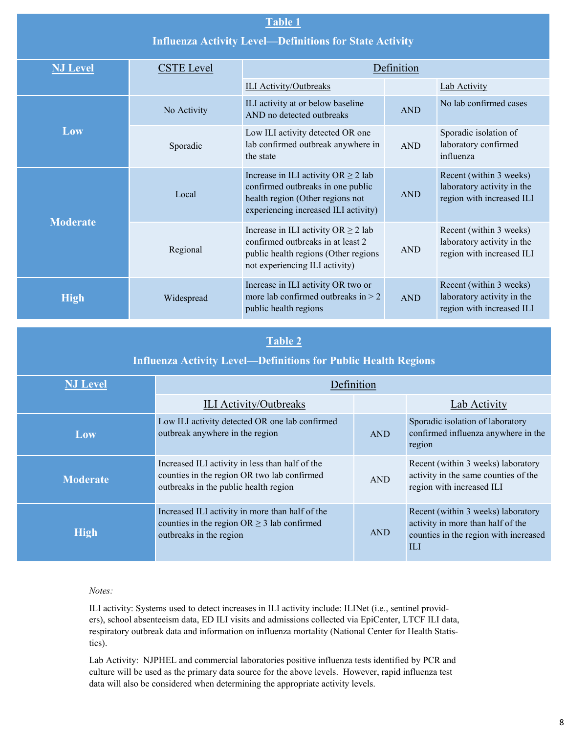|                 |                   | <b>Table 1</b><br><b>Influenza Activity Level-Definitions for State Activity</b>                                                                          |            |                                                                                    |  |  |  |
|-----------------|-------------------|-----------------------------------------------------------------------------------------------------------------------------------------------------------|------------|------------------------------------------------------------------------------------|--|--|--|
| <b>NJ Level</b> | <b>CSTE</b> Level |                                                                                                                                                           | Definition |                                                                                    |  |  |  |
|                 |                   | <b>ILI Activity/Outbreaks</b>                                                                                                                             |            | Lab Activity                                                                       |  |  |  |
|                 | No Activity       | ILI activity at or below baseline<br>AND no detected outbreaks                                                                                            | <b>AND</b> | No lab confirmed cases                                                             |  |  |  |
| Low             | Sporadic          | Low ILI activity detected OR one<br>lab confirmed outbreak anywhere in<br>the state                                                                       | <b>AND</b> | Sporadic isolation of<br>laboratory confirmed<br>influenza                         |  |  |  |
|                 | Local             | Increase in ILI activity OR $\geq$ 2 lab<br>confirmed outbreaks in one public<br>health region (Other regions not<br>experiencing increased ILI activity) |            | Recent (within 3 weeks)<br>laboratory activity in the<br>region with increased ILI |  |  |  |
| <b>Moderate</b> | Regional          | Increase in ILI activity $OR \ge 2$ lab<br>confirmed outbreaks in at least 2<br>public health regions (Other regions<br>not experiencing ILI activity)    | <b>AND</b> | Recent (within 3 weeks)<br>laboratory activity in the<br>region with increased ILI |  |  |  |
| <b>High</b>     | Widespread        | Increase in ILI activity OR two or<br>more lab confirmed outbreaks in $> 2$<br>public health regions                                                      | <b>AND</b> | Recent (within 3 weeks)<br>laboratory activity in the<br>region with increased ILI |  |  |  |

## **Table 2**

### **Influenza Activity Level—Definitions for Public Health Regions**

| <b>NJ Level</b> | Definition                                                                                                                              |            |                                                                                                                                |
|-----------------|-----------------------------------------------------------------------------------------------------------------------------------------|------------|--------------------------------------------------------------------------------------------------------------------------------|
|                 | <b>ILI Activity/Outbreaks</b>                                                                                                           |            | Lab Activity                                                                                                                   |
| Low             | Low ILI activity detected OR one lab confirmed<br>outbreak anywhere in the region                                                       | <b>AND</b> | Sporadic isolation of laboratory<br>confirmed influenza anywhere in the<br>region                                              |
| <b>Moderate</b> | Increased ILI activity in less than half of the<br>counties in the region OR two lab confirmed<br>outbreaks in the public health region | <b>AND</b> | Recent (within 3 weeks) laboratory<br>activity in the same counties of the<br>region with increased ILI                        |
| <b>High</b>     | Increased ILI activity in more than half of the<br>counties in the region $OR \geq 3$ lab confirmed<br>outbreaks in the region          | <b>AND</b> | Recent (within 3 weeks) laboratory<br>activity in more than half of the<br>counties in the region with increased<br><b>ILI</b> |

#### *Notes:*

ILI activity: Systems used to detect increases in ILI activity include: ILINet (i.e., sentinel providers), school absenteeism data, ED ILI visits and admissions collected via EpiCenter, LTCF ILI data, respiratory outbreak data and information on influenza mortality (National Center for Health Statistics).

Lab Activity: NJPHEL and commercial laboratories positive influenza tests identified by PCR and culture will be used as the primary data source for the above levels. However, rapid influenza test data will also be considered when determining the appropriate activity levels.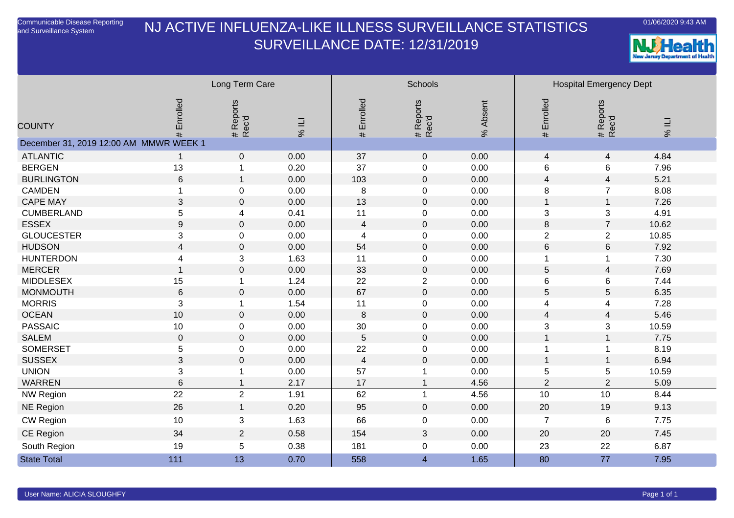## NJ ACTIVE INFLUENZA-LIKE ILLNESS SURVEILLANCE STATISTICSSURVEILLANCE DATE: 12/31/2019





|                                        |                  | Long Term Care     |             |                | Schools            |          |                           | <b>Hospital Emergency Dept</b> |       |
|----------------------------------------|------------------|--------------------|-------------|----------------|--------------------|----------|---------------------------|--------------------------------|-------|
| <b>COUNTY</b>                          | Enrolled<br>#    | # Reports<br>Rec'd | <b>79 %</b> | # Enrolled     | # Reports<br>Rec'd | % Absent | # Enrolled                | # Reports<br>Rec'd             | 1196  |
| December 31, 2019 12:00 AM MMWR WEEK 1 |                  |                    |             |                |                    |          |                           |                                |       |
| <b>ATLANTIC</b>                        | $\overline{1}$   | $\mathbf 0$        | 0.00        | 37             | $\mathbf 0$        | 0.00     | $\overline{\mathcal{L}}$  | $\overline{4}$                 | 4.84  |
| <b>BERGEN</b>                          | 13               |                    | 0.20        | 37             | 0                  | 0.00     | 6                         | 6                              | 7.96  |
| <b>BURLINGTON</b>                      | $\,6\,$          |                    | 0.00        | 103            | $\overline{0}$     | 0.00     | 4                         | $\overline{4}$                 | 5.21  |
| <b>CAMDEN</b>                          |                  | 0                  | 0.00        | 8              | $\boldsymbol{0}$   | 0.00     | 8                         | $\overline{7}$                 | 8.08  |
| <b>CAPE MAY</b>                        | $\sqrt{3}$       | $\mathbf 0$        | 0.00        | 13             | $\mathbf 0$        | 0.00     | $\mathbf{1}$              | $\mathbf{1}$                   | 7.26  |
| <b>CUMBERLAND</b>                      | $\sqrt{5}$       | 4                  | 0.41        | 11             | 0                  | 0.00     | 3                         | 3                              | 4.91  |
| <b>ESSEX</b>                           | $\boldsymbol{9}$ | $\mathbf 0$        | 0.00        | $\overline{4}$ | $\mathbf 0$        | 0.00     | 8                         | $\overline{7}$                 | 10.62 |
| <b>GLOUCESTER</b>                      | 3                | 0                  | 0.00        | 4              | $\pmb{0}$          | 0.00     | $\overline{2}$            | $\overline{2}$                 | 10.85 |
| <b>HUDSON</b>                          | 4                | $\mathbf 0$        | 0.00        | 54             | $\mathbf 0$        | 0.00     | $\,6$                     | $\,6$                          | 7.92  |
| <b>HUNTERDON</b>                       | 4                | 3                  | 1.63        | 11             | $\mathbf 0$        | 0.00     | 1                         | 1                              | 7.30  |
| <b>MERCER</b>                          | $\overline{1}$   | $\mathbf 0$        | 0.00        | 33             | $\mathbf 0$        | 0.00     | 5                         | 4                              | 7.69  |
| <b>MIDDLESEX</b>                       | 15               | 1                  | 1.24        | 22             | $\overline{2}$     | 0.00     | 6                         | 6                              | 7.44  |
| <b>MONMOUTH</b>                        | $6\phantom{1}6$  | $\mathbf 0$        | 0.00        | 67             | $\mathbf 0$        | 0.00     | 5                         | 5                              | 6.35  |
| <b>MORRIS</b>                          | $\mathfrak{3}$   |                    | 1.54        | 11             | 0                  | 0.00     | 4                         | 4                              | 7.28  |
| <b>OCEAN</b>                           | 10               | $\mathbf 0$        | 0.00        | 8              | $\mathbf 0$        | 0.00     | $\overline{\mathcal{L}}$  | $\overline{4}$                 | 5.46  |
| <b>PASSAIC</b>                         | 10               | 0                  | 0.00        | 30             | $\mathbf 0$        | 0.00     | $\ensuremath{\mathsf{3}}$ | 3                              | 10.59 |
| <b>SALEM</b>                           | $\mathbf 0$      | $\pmb{0}$          | 0.00        | 5              | $\mathbf 0$        | 0.00     | $\mathbf{1}$              | $\mathbf{1}$                   | 7.75  |
| <b>SOMERSET</b>                        | $\sqrt{5}$       | 0                  | 0.00        | 22             | 0                  | 0.00     | 1                         | $\mathbf 1$                    | 8.19  |
| <b>SUSSEX</b>                          | $\mathfrak{B}$   | $\mathbf 0$        | 0.00        | 4              | $\mathbf 0$        | 0.00     | $\mathbf 1$               | $\mathbf{1}$                   | 6.94  |
| <b>UNION</b>                           | 3                |                    | 0.00        | 57             | 1                  | 0.00     | $\mathbf 5$               | 5                              | 10.59 |
| <b>WARREN</b>                          | $\,6$            |                    | 2.17        | 17             | $\mathbf{1}$       | 4.56     | $\overline{2}$            | $\overline{2}$                 | 5.09  |
| <b>NW Region</b>                       | $\overline{22}$  | $\overline{2}$     | 1.91        | 62             | $\mathbf{1}$       | 4.56     | 10                        | 10                             | 8.44  |
| <b>NE Region</b>                       | 26               | $\mathbf{1}$       | 0.20        | 95             | $\mathbf 0$        | 0.00     | 20                        | 19                             | 9.13  |
| <b>CW Region</b>                       | 10               | 3                  | 1.63        | 66             | $\pmb{0}$          | 0.00     | $\overline{7}$            | $\,6$                          | 7.75  |
| CE Region                              | 34               | $\overline{2}$     | 0.58        | 154            | 3                  | 0.00     | 20                        | 20                             | 7.45  |
| South Region                           | 19               | 5                  | 0.38        | 181            | $\pmb{0}$          | 0.00     | 23                        | 22                             | 6.87  |
| <b>State Total</b>                     | 111              | 13                 | 0.70        | 558            | $\overline{4}$     | 1.65     | 80                        | 77                             | 7.95  |